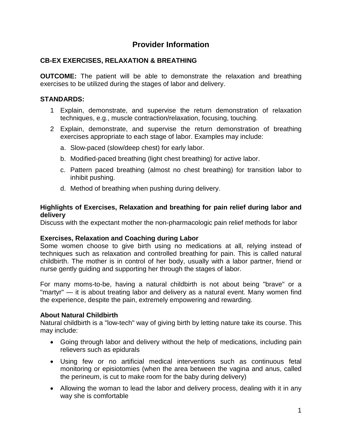# **Provider Information**

## **CB-EX EXERCISES, RELAXATION & BREATHING**

**OUTCOME:** The patient will be able to demonstrate the relaxation and breathing exercises to be utilized during the stages of labor and delivery.

### **STANDARDS:**

- 1 Explain, demonstrate, and supervise the return demonstration of relaxation techniques, e.g., muscle contraction/relaxation, focusing, touching.
- 2 Explain, demonstrate, and supervise the return demonstration of breathing exercises appropriate to each stage of labor. Examples may include:
	- a. Slow-paced (slow/deep chest) for early labor.
	- b. Modified-paced breathing (light chest breathing) for active labor.
	- c. Pattern paced breathing (almost no chest breathing) for transition labor to inhibit pushing.
	- d. Method of breathing when pushing during delivery.

#### **Highlights of Exercises, Relaxation and breathing for pain relief during labor and delivery**

Discuss with the expectant mother the non-pharmacologic pain relief methods for labor

### **Exercises, Relaxation and Coaching during Labor**

Some women choose to give birth using no medications at all, relying instead of techniques such as relaxation and controlled breathing for pain. This is called natural childbirth. The mother is in control of her body, usually with a labor partner, friend or nurse gently guiding and supporting her through the stages of labor.

For many moms-to-be, having a natural childbirth is not about being "brave" or a "martyr" — it is about treating labor and delivery as a natural event. Many women find the experience, despite the pain, extremely empowering and rewarding.

### **About Natural Childbirth**

Natural childbirth is a "low-tech" way of giving birth by letting nature take its course. This may include:

- Going through labor and delivery without the help of medications, including pain relievers such as epidurals
- Using few or no artificial medical interventions such as continuous fetal monitoring or episiotomies (when the area between the vagina and anus, called the perineum, is cut to make room for the baby during delivery)
- Allowing the woman to lead the labor and delivery process, dealing with it in any way she is comfortable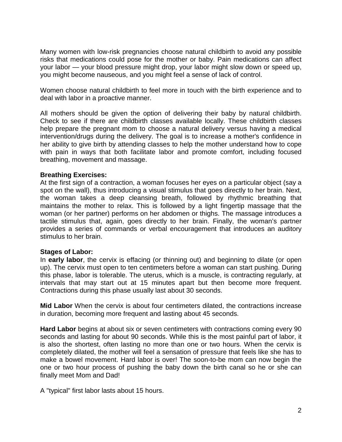Many women with low-risk pregnancies choose natural childbirth to avoid any possible risks that medications could pose for the mother or baby. Pain medications can affect your labor — your blood pressure might drop, your labor might slow down or speed up, you might become nauseous, and you might feel a sense of lack of control.

Women choose natural childbirth to feel more in touch with the birth experience and to deal with labor in a proactive manner.

All mothers should be given the option of delivering their baby by natural childbirth. Check to see if there are childbirth classes available locally. These childbirth classes help prepare the pregnant mom to choose a natural delivery versus having a medical intervention/drugs during the delivery. The goal is to increase a mother's confidence in her ability to give birth by attending classes to help the mother understand how to cope with pain in ways that both facilitate labor and promote comfort, including focused breathing, movement and massage.

#### **Breathing Exercises:**

At the first sign of a contraction, a woman focuses her eyes on a particular object (say a spot on the wall), thus introducing a visual stimulus that goes directly to her brain. Next, the woman takes a deep cleansing breath, followed by rhythmic breathing that maintains the mother to relax. This is followed by a light fingertip massage that the woman (or her partner) performs on her abdomen or thighs. The massage introduces a tactile stimulus that, again, goes directly to her brain. Finally, the woman's partner provides a series of commands or verbal encouragement that introduces an auditory stimulus to her brain.

#### **Stages of Labor:**

In **early labor**, the cervix is effacing (or thinning out) and beginning to dilate (or open up). The cervix must open to ten centimeters before a woman can start pushing. During this phase, labor is tolerable. The uterus, which is a muscle, is contracting regularly, at intervals that may start out at 15 minutes apart but then become more frequent. Contractions during this phase usually last about 30 seconds.

**Mid Labor** When the cervix is about four centimeters dilated, the contractions increase in duration, becoming more frequent and lasting about 45 seconds.

**Hard Labor** begins at about six or seven centimeters with contractions coming every 90 seconds and lasting for about 90 seconds. While this is the most painful part of labor, it is also the shortest, often lasting no more than one or two hours. When the cervix is completely dilated, the mother will feel a sensation of pressure that feels like she has to make a bowel movement. Hard labor is over! The soon-to-be mom can now begin the one or two hour process of pushing the baby down the birth canal so he or she can finally meet Mom and Dad!

A "typical" first labor lasts about 15 hours.